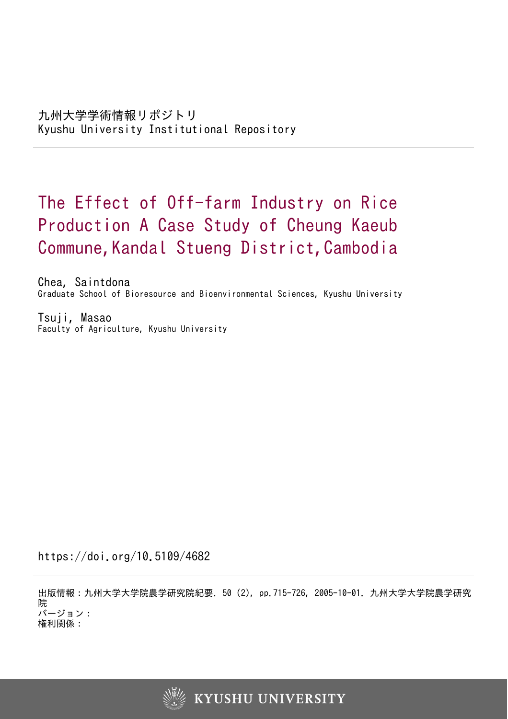# The Effect of Off-farm Industry on Rice Production A Case Study of Cheung Kaeub Commune, Kandal Stueng District, Cambodia

Chea, Saintdona Graduate School of Bioresource and Bioenvironmental Sciences, Kyushu University

Tsuji, Masao Faculty of Agriculture, Kyushu University

https://doi.org/10.5109/4682

出版情報:九州大学大学院農学研究院紀要. 50 (2), pp.715-726, 2005-10-01. 九州大学大学院農学研究 院 バージョン: 権利関係:

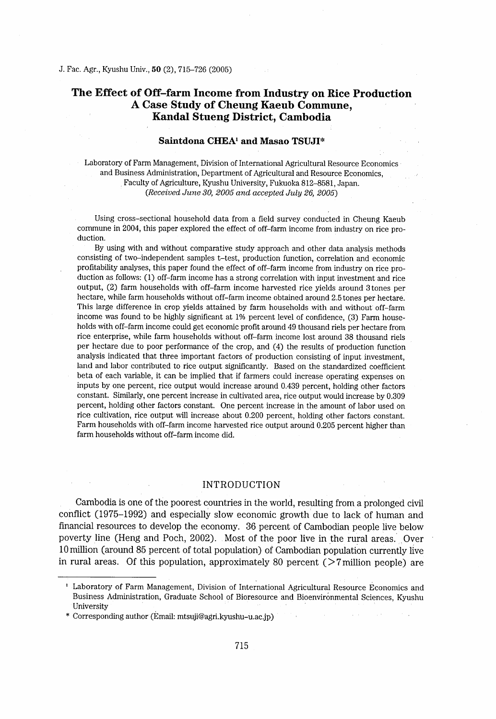# The Effect of Off-farm Income from Industry on Rice Production A Case Study of Cheung Kaeub Commune, Kandal Stueng District, Cambodia

# Saintdona CHEA<sup>1</sup> and Masao TSUJI\*

Laboratory of Farm Management, Division of International Agricultural Resource Economics and Business Administration, Department of Agricultural and Resource Economics, Faculty of Agriculture, Kyushu University, Fukuoka 812-8581 , Japan. (Received June 30, 2005 and accepted July 26, 2005)

Using cross-sectional household data from a field survey conducted in Cheung Kaeub commune in 2004, this paper explored the effect of off-farm income from industry on rice production.

By using with and without comparative study approach and other data analysis methods consisting of two-independent samples t-test, production function, correlation and economic profitability analyses, this paper found the effect of off-farm income from industry on rice production as follows: (1) off-fann income has a strong correlation wlth input investment and rice output, (2) farm households with off-farm income harvested rice yields around 3 tones per hectare, while farm households without off-farm income obtained around 2.5 tones per hectare. This large difference in crop yields attained by farm households with and without off-farm income was found to be highly significant at  $1\%$  percent level of confidence, (3) Farm households with off-farm income could get economic profit around 49 thousand riels per hectare from rice enterprise, while farm households without off-farm income lost around 38 thousand riels per hectare due to poor performance of the crop, and (4) the results of production function analysis indicated that three important factors of production consisting of input investment, land and labor contributed to rice output significantly. Based on the standardized coefficient beta of each variable, it can be implied that if farmers could increase operating expenses on inputs by one percent, rice output would increase around 0.439 percent, holding other factors constant. Similarly, one percent increase in cultivated area, rice output would increase by 0.309 percent, holding other factors constant. One percent increase in the amount of labor used on rice cultivation, rice output will increase about 0.200 percent, holding other factors constant. Farm households with off-farm income harvested rice output around 0.205 percent higher than farm households without off-farm income did.

# INTRODUCTION

Cambodia is one of the poorest countries in the world, resulting from a prolonged civil conflict (1975-1992) and especially slow economic growih due to lack of human and financial resources to develop the economy. 36 percent of Cambodian people live below poverty line (Heng and Poch, 2002). Most of the poor live in the rural areas. Over 10 million (around 85 percent of total population) of Cambodian population currently live in rural areas. Of this population, approximately 80 percent  $($  >7 million people) are

<sup>&#</sup>x27; Laboratory of Farm Management, Division of International Agricultural Resource Economics and Business Administration, Graduate School of Bioresource and Bioenvironmental Sciences, Kyushu whitersity<br>\* Corresponding author (Email: mtsuji@agri.kyushu-u.ac.jp)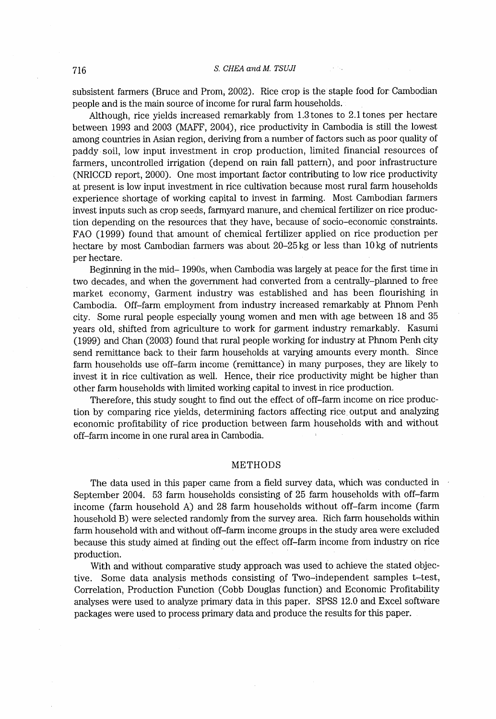subsistent farmers (Bruce and Prom, 2002). Rice crop is the staple food for Cambodian people and is the main source of income for rural farm households.

Although, rice yields increased remarkably from 1.3 tones to 2.1 tones per hectare between 1993 and 2003 (MAFF, 2004) , rice productivity in Cambodia is still the lowest among countries in Asian region, deriving from a number of factors such as poor quality of paddy soil, Iow input investment in crop production, Iimited financial resources of farmers, uncontrolled irrigation (depend on rain fall pattern), and poor infrastructure (NRICCD report, 2000). One most important factor contributing to low rice productivity at present is low input investment in rice cultivation because most rural farm households experience shortage of working capital to invest in farming. Most Cambodian farmers invest inputs such as crop seeds, farrnyard manure, and chemical fertilizer on rice production depending on the resources that they have, because of socio-economic constraints. FAO (1999) found that amount of chemical fertilizer applied on rice production per hectare by most Cambodian farmers was about 20-25kg or less than 10kg of nutrients per hectare.

Beginning in the mid- 1990s, when Cambodia was largely at peace for the first time in two decades, and when the government had converted from a centrally-planned to free market economy, Garment industry was established and has been flourishing in Cambodia. Off-farm employment from industry increased remarkably at Phnom Penh city. Some rural people especially young women and men wlth age between 18 and 35 years old, shifted from agriculture to work for garment industry remarkably. Kasumi (1999) and Chan (2003) found that rural people working for industry at Phnom Penh city send remittance back to their farm households at varying amounts every month. Since farm households use off-farm income (remittance) in many purposes, they are likely to invest it in rice cultivation as well. Hence, their rice productivity might be higher than other farm households with limited working capital to invest in rice production.

Therefore, this study sought to find out the effect of off-farm income on rice production by comparing rice yields, determining factors affecting rice, output and analyzing economic profitability of rice production between farm households with and without off-farm income in one rural area in Cambodia.

### METHODS

The data used in this paper came from a field survey data, which was conducted in September 2004. 53 farm households consisting of 25 farm households with off-farm income (farm household A) and 28 farm households without off-farm income (farm household B) were selected randomly from the survey area. Rich farm households within farm household with and without off-farm income groups in the study area were excluded because this study aimed at finding out the effect off-farm income from industry on rice production.

With and without comparative study approach was used to achieve the stated objective. Some data analysis methods consisting of Two-independent samples t-test, Correlation, Production Function (Cobb Douglas function) and Economic Profitability analyses were used to analyze primary data in this paper. SPSS 12.0 and Excel software packages were used to process primary data and produce the results for this paper,.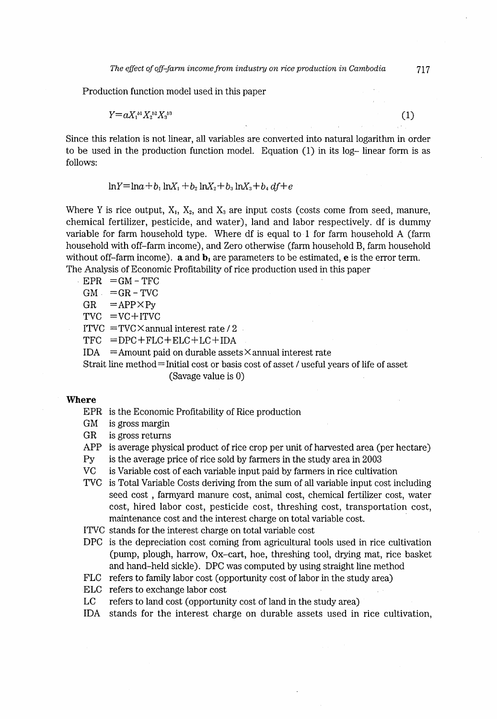Production function model used in this paper

 $Y=aX_1^{b_1}X_2^{b_2}X_3^{b_3}$  (1)

Since this relation is not linear, all variables are converted into natural logarithm in order to be used in the production function model. Equation (1) in its log- Iinear form is as follows:

 $ln Y = ln a + b_1 ln X_1 + b_2 ln X_2 + b_3 ln X_3 + b_4 df + e$ 

Where Y is rice output,  $X_1, X_2,$  and  $X_3$  are input costs (costs come from seed, manure, chemical fertilizer, pesticide, and water), Iand and labor respectively. df is dummy variable for farm household type. Where df is equal to 1 for farm household A (farm household with off-farrn income), and Zero othenvise (farm household B, farm household without off-farm income).  $\mathbf a$  and  $\mathbf b_1$  are parameters to be estimated,  $\mathbf e$  is the error term. The Analysis of Economic Profitability of rice production used in this paper

 $EPR = GM - TFC$ 

 $GM = GR - TVC$ <br> $GR = APP \times Py$  $=$ APP $\times$ Py

 $TVC = VC + ITVC$ 

ITVC  $=$  TVC $\times$  annual interest rate / 2.

 $TFC = DPC + FLC + ELC + LC + IDA$ 

IDA = Amount paid on durable assets  $\times$  annual interest rate

Strait line method= Initial cost or basis cost of asset / useful years of life of asset (Savage value is O)

# Where

EPR is the Economic Profitability of Rice production

- GM is gross margin
- GR is gross returns

APP is average physical product of rice crop per unit of harvested area (per hectare)

- Py is the average price of rice sold by farmers in the study area in 2003
- VC is Variable cost of each variable input paid by farrners in rice cultivation
- rvC is Total Variable Costs deriving from the surn of all variable input cost including seed cost , farmyard manure cost, animal cost, chemical fertilizer cost, water cost, hired labor cost, pesticide cost, threshing cost, transportation cost, maintenance cost and the interest charge on total variable cost.
- ITVC stands for the interest charge on total variable cost
- DPC is the depreciation cost coming from agricultural tools used in rice cultivation (purnp, plough, harrow, Ox-cart, hoe, threshing tool, drying mat, rice basket and hand-held sickle). DPC was computed by using straight line method
- FLC refers to family labor cost (opportunity cost of labor in the study area)
- ELC refers to exchange labor cost
- $_{\rm LC}$ refers to land cost (opportunity cost of land in the study area)
- I DA stands for the interest charge on durable assets used in rice cultivation,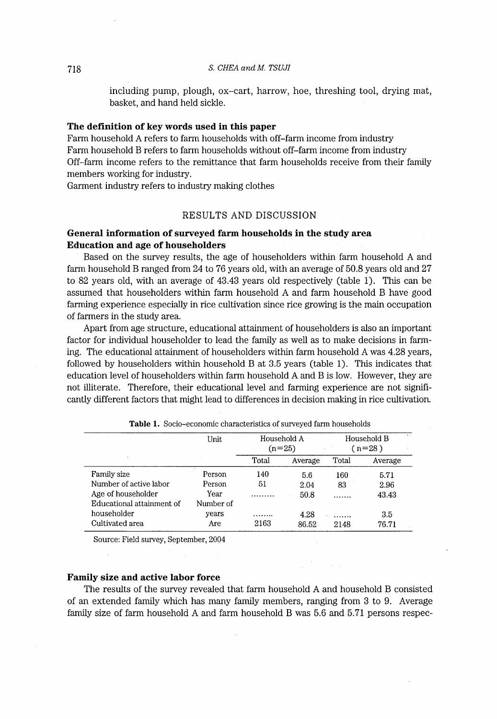including pump, plough, ox-cart, harrow, hoe, threshing tool, drying mat, basket, and hand held sickle.

#### The definition of key words used in this paper

Farm household A refers to farm households wlth off-farm income from industry Farm household B refers to farm households without off-farm income from industry Off-farm income refers to the remittance that farm households receive from their family members working for industry.

Garment industry refers to industry making clothes

# RESULTS AND DISCUSSION

# General information of surveyed farm households in the study area Education and age of householders

Based on the survey results, the age of householders wlthin farm household A and farm household B ranged from 24 to 76 years old, with an average of 50.8 years old and 27 to 82 years old, with an average of 43.43 years old respectively (table 1). This can be assumed that householders within farm household A and farm household B have good farming experience especially in rice cultivation since rice growing is the main occupation of farmers in the study area.

Apart from age structure, educational attainment of householders is also an important factor for individual householder to lead the family as well as to make decisions in farming. The educational attainrnent of householders within farm household A was 4.28 years, followed by householders wlthin household B at 3.5 years (table 1). This indicates that education level of householders wlthin farm household A and B is low. However, they are not llliterate. Therefore, their educational level and farming experience are not significantly different factors that might lead to differences in decision making in rice cultivation.

|                           | Unit      | Household A<br>$(n=25)$ |         | Household B<br>$(n=28)$ |         |
|---------------------------|-----------|-------------------------|---------|-------------------------|---------|
| ×                         |           | Total                   | Average | Total                   | Average |
| Family size               | Person    | 140                     | 5.6     | 160                     | 5.71    |
| Number of active labor    | Person    | 51                      | 2.04    | 83                      | 2.96    |
| Age of householder        | Year      |                         | 50.8    |                         | 43.43   |
| Educational attainment of | Number of |                         |         |                         |         |
| householder               | years     | .                       | 4.28    |                         | 3.5     |
| Cultivated area           | Are       | 2163                    | 86.52   | 2148                    | 76.71   |

Table 1. Socio-economic characteristics of surveyed farm households

Source: Field survey, September, 2004

# Family size and active labor force

The results of the survey revealed that farm household A and household B consisted of an extended family which has many family members, ranging from 3 to 9. Average family size of farm household A and farm household B was 5.6 and 5.71 persons respec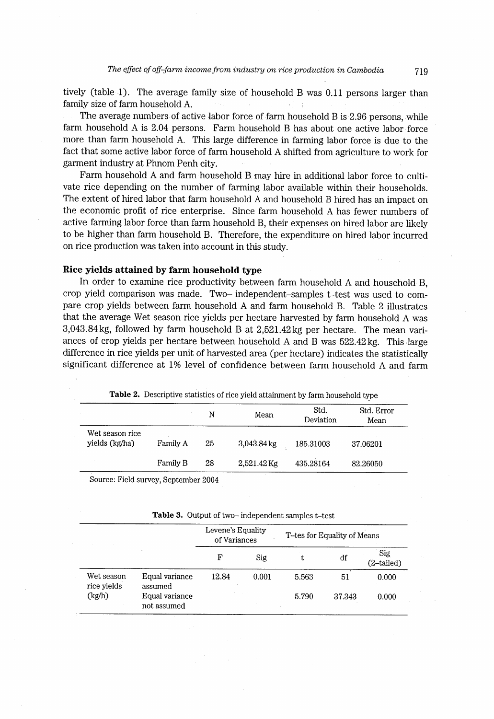tively (table 1). The average family size of household B was 0.11 persons larger than family size of farm household A.

The average numbers of active labor force of farm household B is 2.96 persons, while farm household A is 2.04 persons. Fam household B has about one active labor force more than farm household A. This large difference in farming labor force is due to the fact that some active labor force of farm household A shifted from agriculture to work for garment industry at Phnom Penh city.

Farm household A and farm household B may hire in additional labor force to cultivate rice depending on the number of farming labor available within their households. The extent of hired labor that farm household A and household B hired has an impact on the economic profit of rice enterprise. Since farm household A has fewer numbers of active fanning labor force than farm household B, their expenses on hired labor are likely to be higher than farm household B. Therefore, the expenditure on hired labor incurred on rice production was taken into account in this study.

# Rice yields attained by farm household type

In order to examine rice productivity between farm household A and household B, crop yield comparison was made. Two- independent-samples t-test was used to compare crop yields between farm household A and farm household B. Table 2 illustrates that the average Wet season rice yields per hectare harvested by farm household A was 3,043.84kg, followed by farm household B at 2,521.42kg per hectare. The mean variances of crop yields per hectare between household A and B was 522.42 kg. This large difference in rice yields per unit of harvested area (per hectare) indicates the statistically significant difference at 1% level of confidence between farm household A and farm

|                                   |          | N  | Mean          | Std.<br>Deviation | Std. Error<br>Mean |
|-----------------------------------|----------|----|---------------|-------------------|--------------------|
| Wet season rice<br>yields (kg/ha) | Family A | 25 | $3,043.84$ kg | 185.31003         | 37.06201           |
|                                   | Family B | 28 | $2,521.42$ Kg | 435.28164         | 82.26050           |

Table 2. Descriptive statistics of rice yield attainment by farm household type

Source: Field survey, September 2004

Table 3. Output of two- independent samples t-test

|                           |                               | Levene's Equality<br>of Variances |       | T-tes for Equality of Means |        |                   |
|---------------------------|-------------------------------|-----------------------------------|-------|-----------------------------|--------|-------------------|
|                           |                               | F                                 | Sig   | t                           | df     | Sig<br>(2-tailed) |
| Wet season<br>rice yields | Equal variance<br>assumed     | 12.84                             | 0.001 | 5.563                       | 51     | 0.000             |
| (kg/h)                    | Equal variance<br>not assumed |                                   |       | 5.790                       | 37.343 | 0.000             |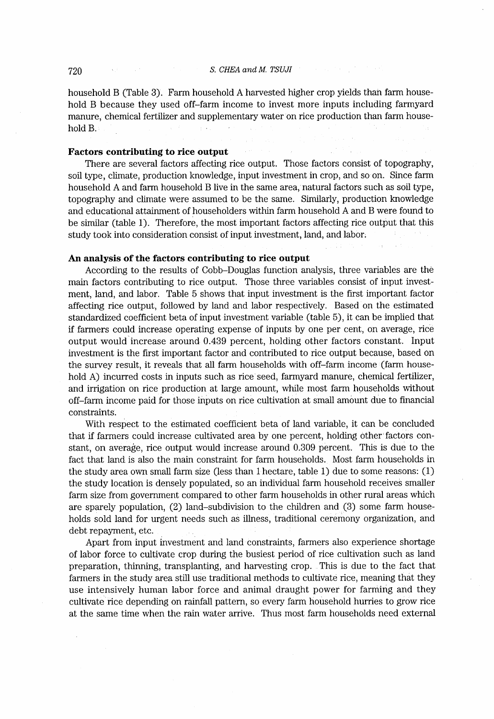household B (Table 3). Farm household A harvested higher crop yields than farm household B because they used off-farm income to invest more inputs including farmyard manure, chemical fertilizer and supplementary water on rice production than farm house- $\sim 10^7$ hold B.

#### Factors contributing to rice output

There are several factors affecting rice output. Those factors consist of topography, soil type, climate, production knowledge, input investment in crop, and so on. Since farm household A and farm household B live in the same area, natural factors such as soil type, topography and climate were assumed to be the same. Similarly, production knowledge and educational attairunent of householders wlthin farm household A and B were found to be similar (table 1). Therefore, the most important factors affecting rice output that this study took into consideration consist of input investment, Iand, and labor,

#### An analysis of the factors contributing to rice output

According to the results of Cobb-Douglas function analysis, three variables are the majn factors contributing to rice output. Those three variables consist of input investment, Iand, and labor. Table 5 shows that input investment is the first important factor affecting rice output, followed by land and labor respectively. Based on the estimated standardized coefficient beta of input investment variable (table 5), it can be implied that if farmers could increase operating expense of inputs by one per cent, on average, rice output would increase around, 0.439 percent, holding other factors constant. Input investment is the first important factor and contributed to rice output because, based on the survey result, it reveals that all farm households wlth off-farm income (farm household A) incurred costs in inputs such as rice seed, farmyard manure, chemical fertilizer, and invigation on rice production at large amount, while most farm households without and inflaton on rice production at tags amount, while most family indicated watera off–farm income paid for those inputs on rice cultivation at small amount due to financial constraints.

With respect to the estimated coefficient beta of land variable, it can be concluded that if farmers could increase cultivated area by one percent, holding other'factors constant, on average, rice output would increase around 0.309 percent. This is due to the fact that land is also the main constraint for farm households. Most farm households in the study area own small farm size (less than  $1$  hectare, table  $1$ ) due to some reasons:  $(1)$ the study location is densely populated, so an individual farm household receives smaller farm size from government compared to other farrn households in other rural areas which are sparely population, (2) Iand-subdivision to the children and (3) some farm households sold land for urgent needs such as illness, traditional ceremony organization, and debt repayment, etc.

Apart from input investment and land constraints, farmers also experience shortage of labor force to cultivate crop during the busiest period of rice cultivation such as land preparation, thinning, transplanting, and harvesting crop. This is due to the fact that farmers in the study area still use traditional methods to cultivate rice, meaning that they use intensively human labor force and animal draught power for farnting and they cultivate rice depending on rainfall pattern, so every farm household hurries to grow rice at the same time when the rain water arrive. Thus most farm households need external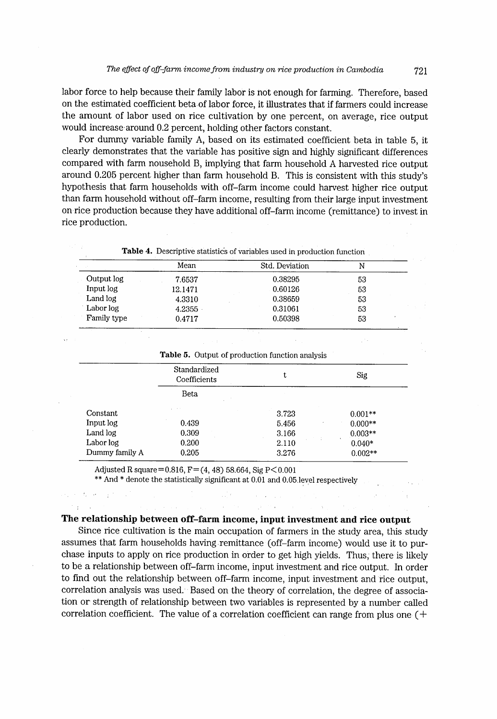labor force to help because their family labor is not enough for farming. Therefore, based on the estimated coefficient beta of labor force, it illustrates that if farmers could increase the amount of labor used on rice cultivation by one percent, on average, rice output would increase around 0.2 percent, holding other factors constant.

For durnmy variable family A, based on its estimated coefficient beta in table 5, it clearly demonstrates that the variable has positive sign and highly significant differences compared with farm nousehold B, implying that farm household A harvested rice output around 0.205 percent higher than farm household B. This is consistent with this study's hypothesis that farm households with off-farm income could harvest higher rice output than farm household without off-farm income, resulting from their large input investment on rice production because they have additional off-farrn income (remittance) to invest in rice production.

|             | Mean    | Std. Deviation |    |  |
|-------------|---------|----------------|----|--|
| Output log  | 7.6537  | 0.38295        | 53 |  |
| Input log   | 12.1471 | 0.60126        | 53 |  |
| Land log    | 4.3310  | 0.38659        | 53 |  |
| Labor log   | 4.2355  | 0.31061        | 53 |  |
| Family type | 0.4717  | 0.50398        | 53 |  |

Table 5. Output of production function analysis

|                | Standardized<br>Coefficients | ı     | Sig       |
|----------------|------------------------------|-------|-----------|
|                | Beta                         |       |           |
| Constant       | and the state                | 3.723 | $0.001**$ |
| Input log      | 0.439                        | 5.456 | $0.000**$ |
| Land log       | 0.309                        | 3.166 | $0.003**$ |
| Labor log      | 0.200                        | 2.110 | $0.040*$  |
| Dummy family A | 0.205                        | 3.276 | $0.002**$ |

Adjusted R square=0.816,  $F = (4, 48)$  58.664, Sig P < 0.001

 $\mathcal{A}_2$  , and  $\mathcal{A}_1$  and  $\mathcal{A}_2$  , and  $\mathcal{A}_3$ 

 $\mathbb{S}^1$  is

 $**$  And  $*$  denote the statistically significant at 0.01 and 0.05, level respectively  $\frac{1}{2}\int_{0}^{2}dx$ 

#### The relationship between off-farm income, input investment and rice output

 $\mu$  and  $\mu$ 

 $\sim 10^{-1}$ 

Since rice cultivation is the main occupation of farmers in the study area, this study assumes that farm households having remittance (off-farm income) would use it to purchase inputs to apply on rice production in order to get high yields. Thus, there is likely to be a relationship between off-farm income, input investment and rice output. In order to find out the relationship between off-farm income, input investment and rice output, correlation analysis was used.' Based on the theory of correlation, the degree of association or strength of relationship between two variables is represented by a number called correlation coefficient. The value of a correlation coefficient can range from plus one (+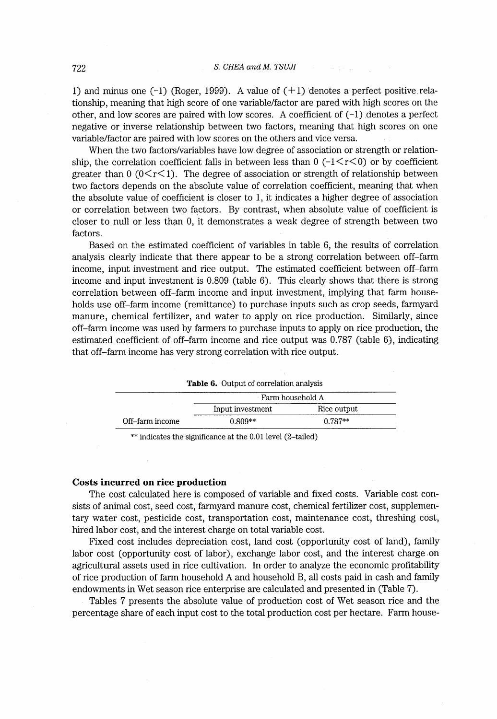1) and minus one  $(-1)$  (Roger, 1999). A value of  $(+1)$  denotes a perfect positive relationship, meaning that high score of one variable/factor are pared wlth high scores on the other, and low scores are paired with low scores. A coefficient of  $(-1)$  denotes a perfect negative or inverse relationship between two factors, meaning that high scores on one variable/factor are paired with low scores on the others and vice versa.

When the two factors/variables have low degree of association or strength or relationship, the correlation coefficient falls in between less than  $0$  ( $-1\leq r\leq 0$ ) or by coefficient greater than  $0 \left(0 \leq r \leq 1\right)$ . The degree of association or strength of relationship between two factors depends on the absolute value of correlation coefficient, meaning that when the absolute value of coefficient is closer to I , it indicates a higher degree of association or correlation between two factors. By contrast, when absolute value of coefficient is closer to null or less than 0, it demonstrates a weak degree of strength between two factors.

Based on the estimated coefficient of variables in table 6, the results of correlation analysis clearly indicate that there appear to be a strong correlation between off-farm income, input investment and rice output. The estimated coefficient between off-farm income and input investment is 0.809 (table 6) . This clearly shows that there is strong correlation between off-farm income and input investment, implying that farm households use off-farrn income (remittance) to purchase inputs such as crop seeds, farmyard manure, chemical fertilizer, and water to apply on rice production. Similarly, since off-farm income was used by farmers to purchase inputs to apply on rice production, the estimated coefficient of off-farm income and rice output was 0.787 (table 6), indicating that off-farm income has very strong correlation with rice output.

| <b>Table 6.</b> Output of correlation analysis |                  |             |  |  |  |
|------------------------------------------------|------------------|-------------|--|--|--|
|                                                | Farm household A |             |  |  |  |
|                                                | Input investment | Rice output |  |  |  |
| Off–farm income                                | $0.809**$        | $0.787**$   |  |  |  |

\*\* indicates the significance at the 0.01 level (2-tailed)

# Costs incurred on rice production

The cost calculated here is composed of variable and fixed costs. Variable cost consists of animal cost, seed cost, farmyard manure cost, chemical fertilizer cost, supplementary water cost, pesticide cost, transportation cost, maintenance cost, threshing cost, hired labor cost, and the interest charge on total variable cost.

Fixed cost includes depreciation cost, land cost (opportunity cost of land), family labor cost (opportunity cost of labor), exchange labor cost, and the interest charge on agricultural assets used in rice cultivation. In order to analyze the economic profitability of rice production of farm household A and household B, all costs paid in cash and family endowrnents in Wet season rice enterprise are calculated and presented in (Table 7).

Tables 7 presents the absolute value of production cost of Wet season rice and the percentage share of each input cost to the total production cost per hectare. Farm house-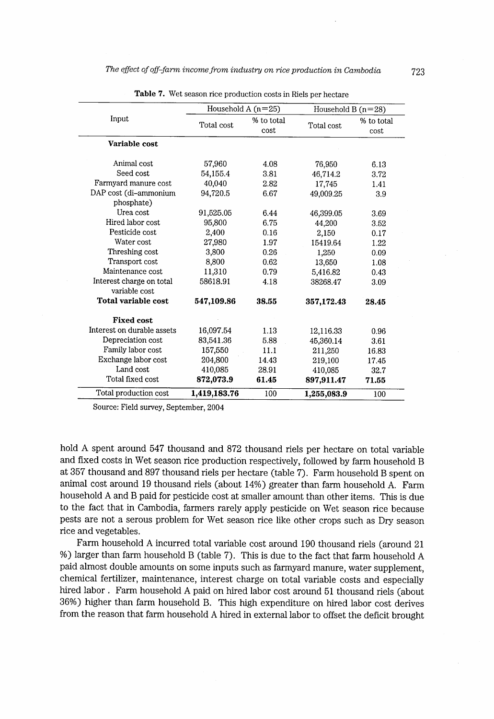|                                            | Household A $(n=25)$ |                    | Household B $(n=28)$ |                    |
|--------------------------------------------|----------------------|--------------------|----------------------|--------------------|
| Input                                      | Total cost           | % to total<br>cost | Total cost           | % to total<br>cost |
| Variable cost                              |                      |                    |                      |                    |
| Animal cost                                | 57,960               | 4.08               | 76,950               | 6.13               |
| Seed cost                                  | 54,155.4             | 3.81               | 46,714.2             | 3.72               |
| Farmyard manure cost                       | 40.040               | 2.82               | 17,745               | 1.41               |
| DAP cost (di-ammonium<br>phosphate)        | 94,720.5             | 6.67               | 49.009.25            | 3.9                |
| Urea cost                                  | 91,525.05            | 6.44               | 46,399.05            | 3.69               |
| Hired labor cost                           | 95,800               | 6.75               | 44.200               | 3.52               |
| Pesticide cost                             | 2,400                | 0.16               | 2,150                | 0.17               |
| Water cost                                 | 27,980               | 1.97               | 15419.64             | 1.22               |
| Threshing cost                             | 3,800                | 0.26               | 1,250                | 0.09               |
| Transport cost                             | 8,800                | 0.62               | 13,650               | 1.08               |
| Maintenance cost                           | 11,310               | 0.79               | 5,416.82             | 0.43               |
| Interest charge on total<br>variable cost. | 58618.91             | 4.18               | 38268.47             | 3.09               |
| Total variable cost                        | 547,109.86           | 38.55              | 357,172.43           | 28.45              |
| <b>Fixed cost</b>                          |                      |                    |                      |                    |
| Interest on durable assets                 | 16,097.54            | 1.13               | 12,116.33            | 0.96               |
| Depreciation cost                          | 83,541.36            | 5.88               | 45,360.14            | 3.61               |
| Family labor cost                          | 157,550              | 11.1               | 211,250              | 16.83              |
| Exchange labor cost                        | 204,800              | 14.43              | 219,100              | 17.45              |
| Land cost                                  | 410,085              | 28.91              | 410,085              | 32.7               |
| Total fixed cost                           | 872,073.9            | 61.45              | 897,911.47           | 71.55              |
| Total production cost                      | 1,419,183.76         | 100                | 1,255,083.9          | 100                |

Table 7. Wet season rice production costs in Riels per hectare

Source: Field survey, September, 2004

hold A spent around 547 thousand and 872 thousand riels per hectare on total variable and fixed costs in Wet season rice production respectively, followed by farm household B at 357 thousand and 897 thousand riels per hectare (table 7) . Farm household B spent on animal cost around 19 thousand riels (about 14%) greater than farm household A. Farm household A and B paid for pesticide cost at smaller amount than other items. This is due to the fact that in Cambodia, farmers rarely apply pesticide on Wet season rice because pests are not a serous problem for Wet season rice like other crops such as Dry season rice and vegetables.

Farm household A incurred total variable cost around 190 thousand riels (around 21 %) larger than farm household B (table 7). This is due to the fact that farm household A paid almost double amounts on some inputs such as farmyard manure, water supplement, chemical fertilizer, maintenance, interest charge on total variable costs and especially hired labor . Farm household A paid on hired labor cost around 51 thousand riels (about 36%) higher than farm household B. This high expenditure on hired labor cost derives from the reason that farm household A hired in external labor to offset the deficit brought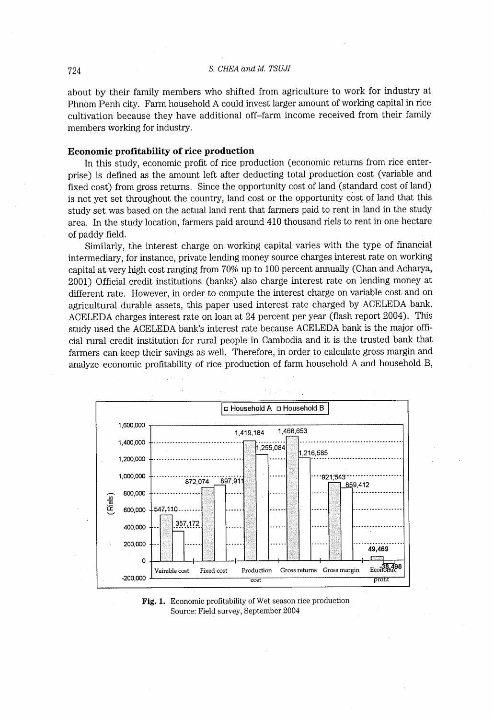about by their family members who shifted from agriculture to work for industry at Phnom Penh city. Farm household A could invest larger amount of working capital in rice cultivation because they have additional off-farm income received from their family members working for industry.

# Economic profitability of rice production

In this study, economic profit of rice production (economic returns from rice enterprise) is defined as the amount left after deducting total production cost (variable and fixed cost) from gross returns. Since the opportunity cost of land (standard cost of land) is not yet set throughout the country, Iand cost or the opportunity cost of land that this study set was based on the actual land rent that farmers paid to rent in land in the study area. In the study location, farmers paid around 410 thousand riels to rent in one hectare of paddy field.

Similarly, the interest charge on working capital varies with the type of financial intermediary, for instance, private lending money source charges interest rate on working capital at very high cost ranging from 70% up to 100 percent annually (Chan and Acharya, 2001) Official credit institutions (banks) also charge interest rate on lending money at different rate. However, in order to compute the interest charge on variable cost and on  $\frac{1}{2}$  $\alpha_{\text{L}}$  activities interest rate on loan at 24 percent per year (flash report 2004). This ACELEDA charges interest rate on loan at 24 percent per year (flash report 2004). This study used the ACELEDA bank's interest rate because ACELEDA bank is the major official rural credit institution for rural people in Cambodia and it is the trusted bank that farmers can keep their savings as well. Therefore, in order to calculate gross margin and analyze econornic profitability of rice production of farm household A and household B,



Fig. 1. Economic profitability of Wet season rice production Source: Field survey, September 2004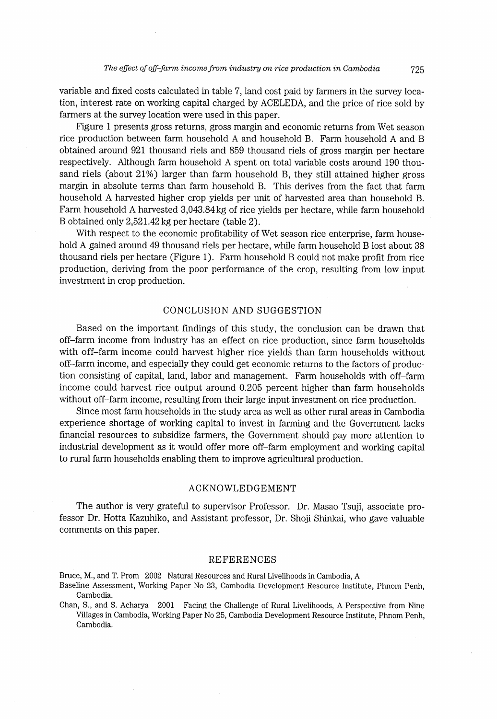variable and fixed costs calculated in table 7, Iand cost paid by farmers in the survey location, interest rate on working capital charged by ACELEDA, and the price of rice sold by farmers at the survey location were used in this paper.

Figure I presents gross returns, gross margin and economic retums from Wet season rice production between farm household A and household B. Farm household A and B obtained around 921 thousand riels and 859 thousand riels of gross margin per hectare respectively. Although farm household A spent on total variable costs around 190 thousand riels (about  $21\%$ ) larger than farm household B, they still attained higher gross margin in absolute terms than farm household B. This derives from the fact that farm household A harvested higher crop yields per unit of harvested area than household B. Farm household A harvested 3,043.84 kg of rice yields per hectare, while farm household B obtained only 2,521 .42 kg per hectare (table 2) .

With respect to the economic profitability of Wet season rice enterprise, farm household A gained around 49 thousand riels per hectare, while farm household B Iost about 38 thousand riels per hectare (Figure 1). Farm household B could not make profit from rice production, deriving from the poor performance of the crop, resulting from low input investment in crop production.

# CONCLUSION AND SUGGESTION

Based on the important findings of this study, the conclusion can be drawn that off-farm income from industry has an effect on rice production, since farm households with off-farm income could harvest higher rice yields than farm households without off-farm income, and especially they could get economic returns to the factors of production consisting of capital, Iand, Iabor and managernent. Farm households with off-farm income could harvest rice output around 0.205 percent higher than farm households without off-farm income, resulting from their large input investment on rice production.

Since most farrn households in the study area as well as other rural areas in Cambodia experience shortage of working capital to invest in farming and the Government lacks financial resources to subsidize farmers, the Government should pay more attention to industrial development as it would offer more off-farm employment and working capital to rural farm households enabling them to improve agricultural production.

# ACKNOWLEDGEMENT

The author is very grateful to supervisor Professor. Dr. Masao Tsuji, associate professor Dr. Hotta Kazuhiko, and Assistant professor, Dr. Shoji Shinkai, who gave valuable comments on this paper.

#### REFERENCES

Bruce, M.,and T. Prom 2002 Natural Resources and Rural Livelihoods in Cambodia, A

- Baseline Assessment, Working Paper No 23, Cambodia Development Resource Institute, Phnom Penh, Cambodia.
- Chan, S., and S. Acharya 2001 Facing the Challenge of Rural Livelihoods, A Perspective from Nine Villages in Cambodia, Working Paper No 25, Cambodia Development Resource Institute, Phnom Penh, Cambodia.